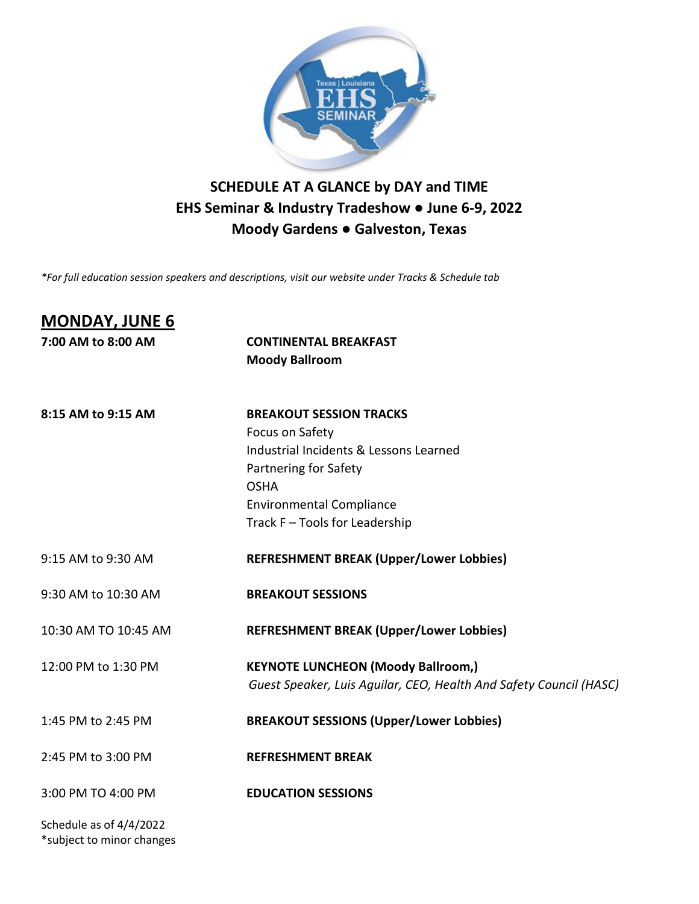

## **SCHEDULE AT A GLANCE by DAY and TIME EHS Seminar & Industry Tradeshow ● June 6-9, 2022 Moody Gardens ● Galveston, Texas**

*\*For full education session speakers and descriptions, visit our website under Tracks & Schedule tab*

| <b>MONDAY, JUNE 6</b>                                |                                                                    |
|------------------------------------------------------|--------------------------------------------------------------------|
| 7:00 AM to 8:00 AM                                   | <b>CONTINENTAL BREAKFAST</b>                                       |
|                                                      | <b>Moody Ballroom</b>                                              |
| 8:15 AM to 9:15 AM                                   | <b>BREAKOUT SESSION TRACKS</b>                                     |
|                                                      | Focus on Safety                                                    |
|                                                      | Industrial Incidents & Lessons Learned                             |
|                                                      | Partnering for Safety                                              |
|                                                      | <b>OSHA</b>                                                        |
|                                                      | <b>Environmental Compliance</b>                                    |
|                                                      | Track F - Tools for Leadership                                     |
| 9:15 AM to 9:30 AM                                   | <b>REFRESHMENT BREAK (Upper/Lower Lobbies)</b>                     |
| 9:30 AM to 10:30 AM                                  | <b>BREAKOUT SESSIONS</b>                                           |
| 10:30 AM TO 10:45 AM                                 | <b>REFRESHMENT BREAK (Upper/Lower Lobbies)</b>                     |
| 12:00 PM to 1:30 PM                                  | <b>KEYNOTE LUNCHEON (Moody Ballroom,)</b>                          |
|                                                      | Guest Speaker, Luis Aguilar, CEO, Health And Safety Council (HASC) |
| 1:45 PM to 2:45 PM                                   | <b>BREAKOUT SESSIONS (Upper/Lower Lobbies)</b>                     |
| 2:45 PM to 3:00 PM                                   | <b>REFRESHMENT BREAK</b>                                           |
| 3:00 PM TO 4:00 PM                                   | <b>EDUCATION SESSIONS</b>                                          |
| Schedule as of 4/4/2022<br>*subject to minor changes |                                                                    |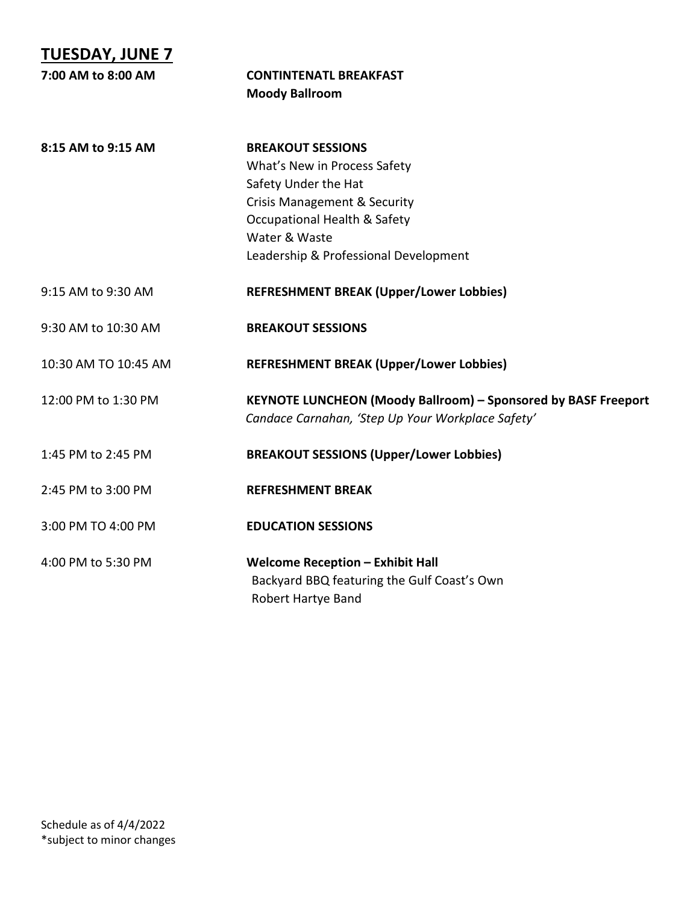| <b>TUESDAY, JUNE 7</b> |                                                                                                                     |
|------------------------|---------------------------------------------------------------------------------------------------------------------|
| 7:00 AM to 8:00 AM     | <b>CONTINTENATL BREAKFAST</b>                                                                                       |
|                        | <b>Moody Ballroom</b>                                                                                               |
| 8:15 AM to 9:15 AM     | <b>BREAKOUT SESSIONS</b>                                                                                            |
|                        | What's New in Process Safety                                                                                        |
|                        | Safety Under the Hat                                                                                                |
|                        | <b>Crisis Management &amp; Security</b>                                                                             |
|                        | <b>Occupational Health &amp; Safety</b>                                                                             |
|                        | Water & Waste                                                                                                       |
|                        | Leadership & Professional Development                                                                               |
| 9:15 AM to 9:30 AM     | <b>REFRESHMENT BREAK (Upper/Lower Lobbies)</b>                                                                      |
| 9:30 AM to 10:30 AM    | <b>BREAKOUT SESSIONS</b>                                                                                            |
| 10:30 AM TO 10:45 AM   | <b>REFRESHMENT BREAK (Upper/Lower Lobbies)</b>                                                                      |
| 12:00 PM to 1:30 PM    | KEYNOTE LUNCHEON (Moody Ballroom) - Sponsored by BASF Freeport<br>Candace Carnahan, 'Step Up Your Workplace Safety' |
| 1:45 PM to 2:45 PM     | <b>BREAKOUT SESSIONS (Upper/Lower Lobbies)</b>                                                                      |
| 2:45 PM to 3:00 PM     | <b>REFRESHMENT BREAK</b>                                                                                            |
| 3:00 PM TO 4:00 PM     | <b>EDUCATION SESSIONS</b>                                                                                           |
| 4:00 PM to 5:30 PM     | <b>Welcome Reception - Exhibit Hall</b><br>Backyard BBQ featuring the Gulf Coast's Own<br>Robert Hartye Band        |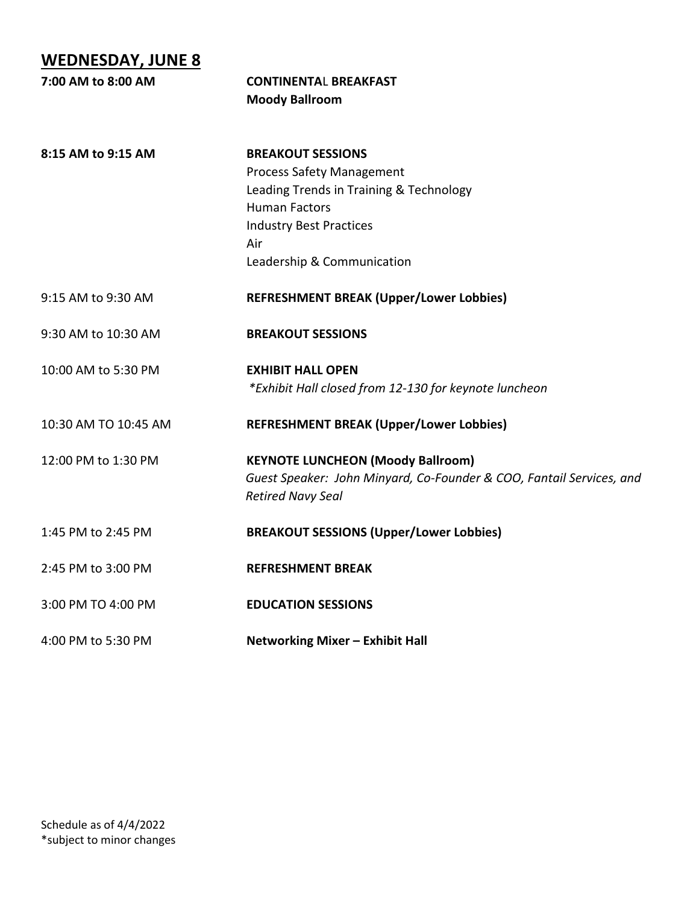## **WEDNESDAY, JUNE 8**

| 7:00 AM to 8:00 AM   | <b>CONTINENTAL BREAKFAST</b>                                                                     |  |
|----------------------|--------------------------------------------------------------------------------------------------|--|
|                      | <b>Moody Ballroom</b>                                                                            |  |
| 8:15 AM to 9:15 AM   | <b>BREAKOUT SESSIONS</b>                                                                         |  |
|                      | <b>Process Safety Management</b>                                                                 |  |
|                      | Leading Trends in Training & Technology                                                          |  |
|                      | <b>Human Factors</b>                                                                             |  |
|                      | <b>Industry Best Practices</b>                                                                   |  |
|                      | Air                                                                                              |  |
|                      | Leadership & Communication                                                                       |  |
| 9:15 AM to 9:30 AM   | <b>REFRESHMENT BREAK (Upper/Lower Lobbies)</b>                                                   |  |
| 9:30 AM to 10:30 AM  | <b>BREAKOUT SESSIONS</b>                                                                         |  |
| 10:00 AM to 5:30 PM  | <b>EXHIBIT HALL OPEN</b>                                                                         |  |
|                      | *Exhibit Hall closed from 12-130 for keynote luncheon                                            |  |
| 10:30 AM TO 10:45 AM | <b>REFRESHMENT BREAK (Upper/Lower Lobbies)</b>                                                   |  |
| 12:00 PM to 1:30 PM  | <b>KEYNOTE LUNCHEON (Moody Ballroom)</b>                                                         |  |
|                      | Guest Speaker: John Minyard, Co-Founder & COO, Fantail Services, and<br><b>Retired Navy Seal</b> |  |
| 1:45 PM to 2:45 PM   | <b>BREAKOUT SESSIONS (Upper/Lower Lobbies)</b>                                                   |  |
| 2:45 PM to 3:00 PM   | <b>REFRESHMENT BREAK</b>                                                                         |  |
| 3:00 PM TO 4:00 PM   | <b>EDUCATION SESSIONS</b>                                                                        |  |
| 4:00 PM to 5:30 PM   | Networking Mixer - Exhibit Hall                                                                  |  |